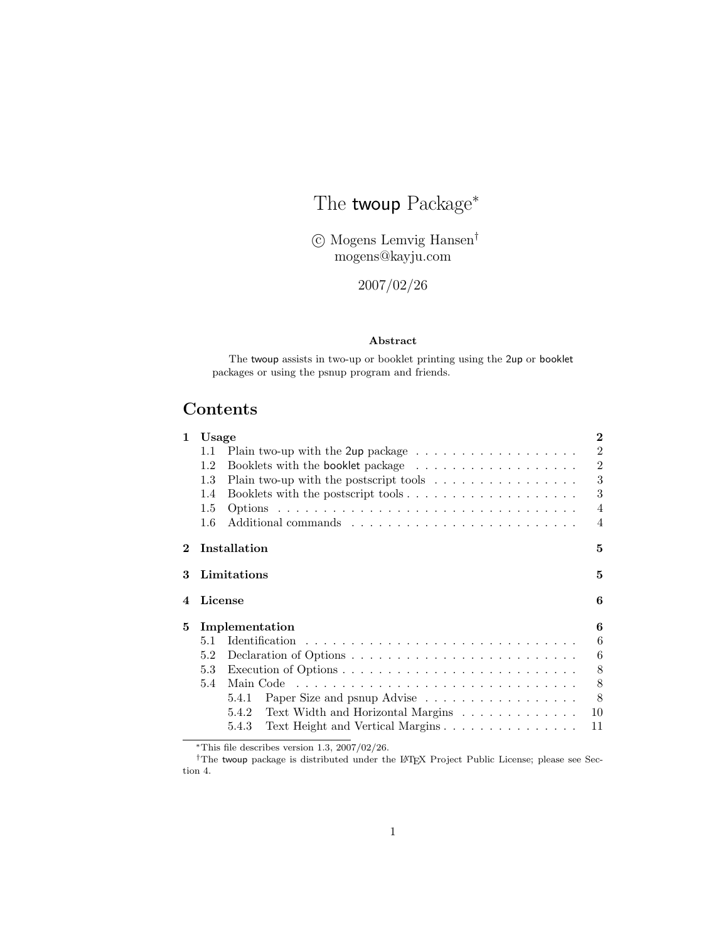# The twoup Package<sup>\*</sup>

°c Mogens Lemvig Hansen† mogens@kayju.com

2007/02/26

### Abstract

The twoup assists in two-up or booklet printing using the 2up or booklet packages or using the psnup program and friends.

# Contents

| $\mathbf{1}$ | $\bf{2}$<br>Usage |                                                                              |                |
|--------------|-------------------|------------------------------------------------------------------------------|----------------|
|              | 1.1               | Plain two-up with the 2up package $\dots \dots \dots \dots \dots \dots$      | $\overline{2}$ |
|              | 1.2               |                                                                              | $\overline{2}$ |
|              | 1.3               | Plain two-up with the postscript tools $\ldots \ldots \ldots \ldots \ldots$  | 3              |
|              | 1.4               |                                                                              | 3              |
|              | $1.5\,$           |                                                                              | $\overline{4}$ |
|              | $1.6\,$           |                                                                              | $\overline{4}$ |
| $\bf{2}$     |                   | Installation                                                                 | 5              |
| 3            |                   | Limitations                                                                  | 5              |
| 4            | License           |                                                                              | 6              |
| 5            |                   | Implementation                                                               | 6              |
|              | 5.1               |                                                                              | 6              |
|              | 5.2               |                                                                              | 6              |
|              | 5.3               | Execution of Options $\dots \dots \dots \dots \dots \dots \dots \dots \dots$ | 8              |
|              | 5.4               | Main Code                                                                    | 8              |
|              |                   | Paper Size and psnup Advise<br>5.4.1                                         | 8              |
|              |                   | Text Width and Horizontal Margins<br>5.4.2                                   | 10             |
|              |                   | Text Height and Vertical Margins<br>5.4.3                                    | 11             |

<sup>∗</sup>This file describes version 1.3, 2007/02/26.

†The twoup package is distributed under the LATEX Project Public License; please see Section 4.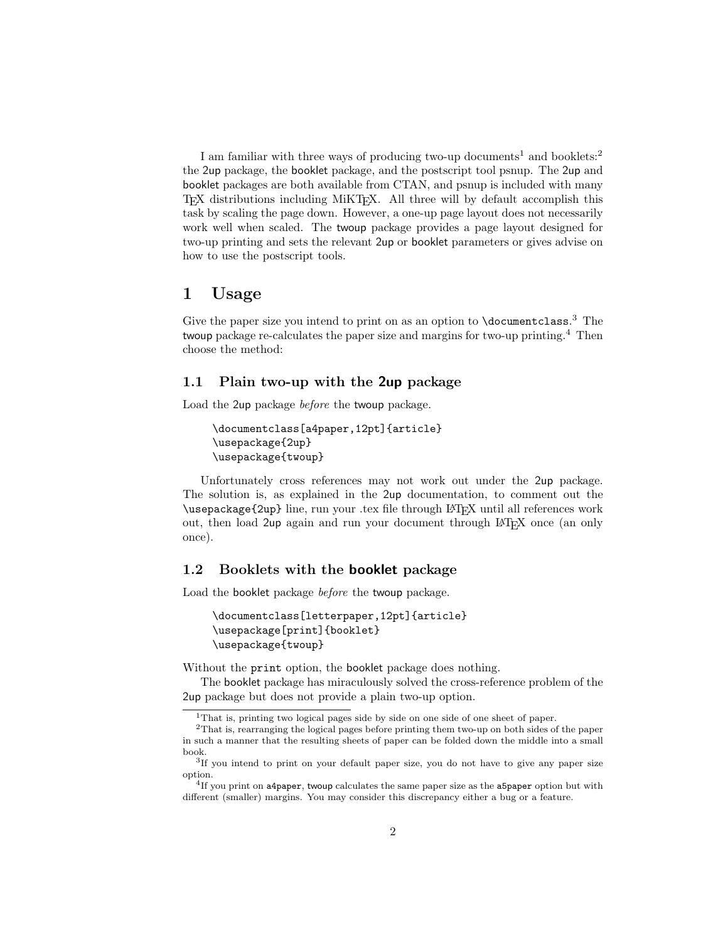I am familiar with three ways of producing two-up documents<sup>1</sup> and booklets:<sup>2</sup> the 2up package, the booklet package, and the postscript tool psnup. The 2up and booklet packages are both available from CTAN, and psnup is included with many TEX distributions including MiKTEX. All three will by default accomplish this task by scaling the page down. However, a one-up page layout does not necessarily work well when scaled. The twoup package provides a page layout designed for two-up printing and sets the relevant 2up or booklet parameters or gives advise on how to use the postscript tools.

### 1 Usage

Give the paper size you intend to print on as an option to  $\doteq$   $\ddot{o}$  cumentclass.<sup>3</sup> The twoup package re-calculates the paper size and margins for two-up printing.<sup>4</sup> Then choose the method:

### 1.1 Plain two-up with the 2up package

Load the 2up package before the twoup package.

```
\documentclass[a4paper,12pt]{article}
\usepackage{2up}
\usepackage{twoup}
```
Unfortunately cross references may not work out under the 2up package. The solution is, as explained in the 2up documentation, to comment out the \usepackage{2up} line, run your .tex file through LATEX until all references work out, then load 2up again and run your document through LATEX once (an only once).

### 1.2 Booklets with the booklet package

Load the booklet package before the twoup package.

```
\documentclass[letterpaper,12pt]{article}
\usepackage[print]{booklet}
\usepackage{twoup}
```
Without the print option, the booklet package does nothing.

The booklet package has miraculously solved the cross-reference problem of the 2up package but does not provide a plain two-up option.

<sup>1</sup>That is, printing two logical pages side by side on one side of one sheet of paper.

<sup>2</sup>That is, rearranging the logical pages before printing them two-up on both sides of the paper in such a manner that the resulting sheets of paper can be folded down the middle into a small book.

<sup>3</sup> If you intend to print on your default paper size, you do not have to give any paper size option.

 $4$ If you print on a4paper, twoup calculates the same paper size as the a5paper option but with different (smaller) margins. You may consider this discrepancy either a bug or a feature.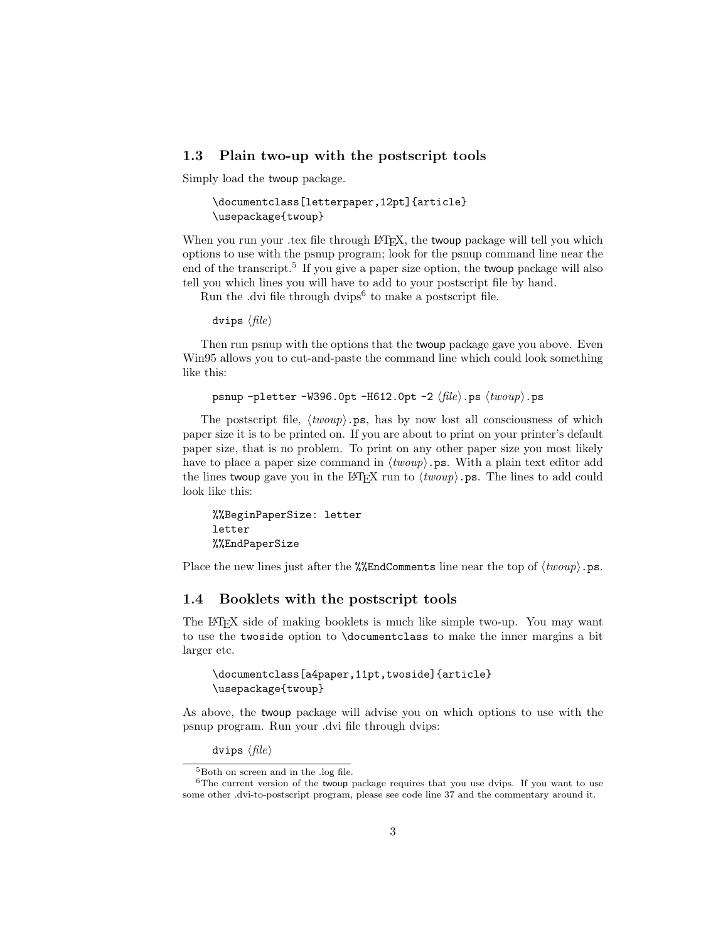### 1.3 Plain two-up with the postscript tools

Simply load the twoup package.

```
\documentclass[letterpaper,12pt]{article}
\usepackage{twoup}
```
When you run your .tex file through LATEX, the two up package will tell you which options to use with the psnup program; look for the psnup command line near the end of the transcript.<sup>5</sup> If you give a paper size option, the twoup package will also tell you which lines you will have to add to your postscript file by hand.

Run the .dvi file through dvips<sup>6</sup> to make a postscript file.

dvips  $\langle file \rangle$ 

Then run psnup with the options that the twoup package gave you above. Even Win95 allows you to cut-and-paste the command line which could look something like this:

psnup -pletter -W396.0pt -H612.0pt -2  $\langle file \rangle$ .ps  $\langle twoup \rangle$ .ps

The postscript file,  $\langle t w o u p \rangle$ .ps, has by now lost all consciousness of which paper size it is to be printed on. If you are about to print on your printer's default paper size, that is no problem. To print on any other paper size you most likely have to place a paper size command in  $\langle twoup \rangle$ .ps. With a plain text editor add the lines two up gave you in the LAT<sub>EX</sub> run to  $\langle t w o u p \rangle$ . The lines to add could look like this:

%%BeginPaperSize: letter letter %%EndPaperSize

Place the new lines just after the  $\frac{2}{\epsilon}$ EndComments line near the top of  $\langle t w o u p \rangle$ .ps.

### 1.4 Booklets with the postscript tools

The LATEX side of making booklets is much like simple two-up. You may want to use the twoside option to \documentclass to make the inner margins a bit larger etc.

\documentclass[a4paper,11pt,twoside]{article} \usepackage{twoup}

As above, the twoup package will advise you on which options to use with the psnup program. Run your .dvi file through dvips:

dvips  $\langle file \rangle$ 

<sup>&</sup>lt;sup>5</sup>Both on screen and in the .log file.

 $6$ The current version of the twoup package requires that you use dvips. If you want to use some other .dvi-to-postscript program, please see code line 37 and the commentary around it.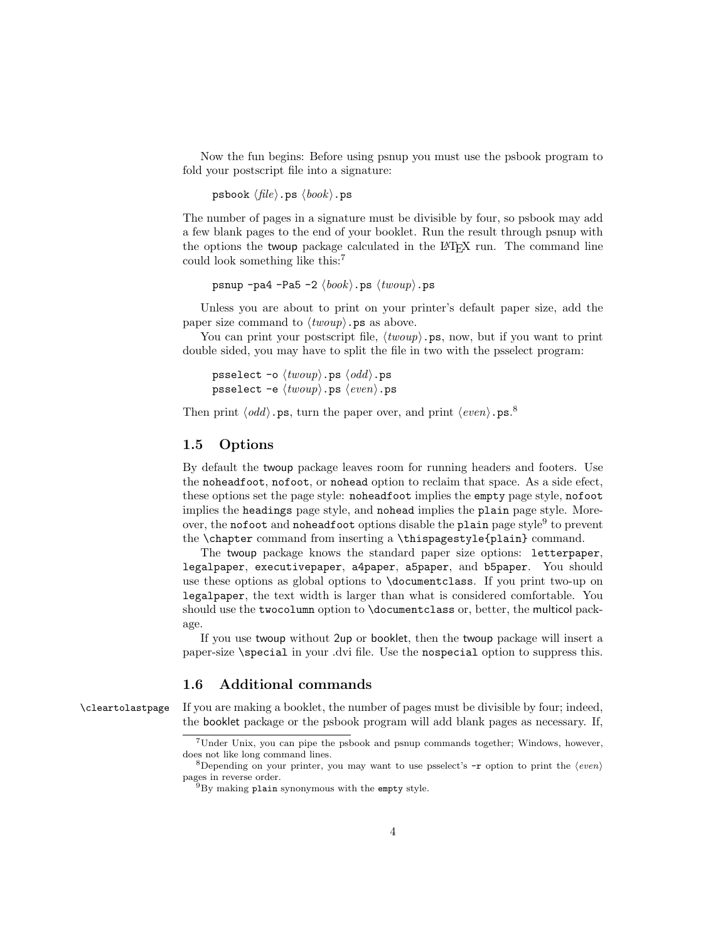Now the fun begins: Before using psnup you must use the psbook program to fold your postscript file into a signature:

psbook  $\langle file \rangle$ .ps  $\langle book \rangle$ .ps

The number of pages in a signature must be divisible by four, so psbook may add a few blank pages to the end of your booklet. Run the result through psnup with the options the twoup package calculated in the LATEX run. The command line could look something like this:<sup>7</sup>

psnup -pa4 -Pa5 -2  $\langle \textit{book} \rangle$ .ps  $\langle \textit{twoup} \rangle$ .ps

Unless you are about to print on your printer's default paper size, add the paper size command to  $\langle t w o u p \rangle$ . ps as above.

You can print your postscript file,  $\langle t w o u p \rangle$ .ps, now, but if you want to print double sided, you may have to split the file in two with the psselect program:

psselect -o  $\langle twoup \rangle$ .ps  $\langle odd \rangle$ .ps psselect  $-e \langle t w o u p \rangle$ .ps  $\langle even \rangle$ .ps

Then print  $\langle odd \rangle$ . ps, turn the paper over, and print  $\langle even \rangle$ . ps.<sup>8</sup>

### 1.5 Options

By default the twoup package leaves room for running headers and footers. Use the noheadfoot, nofoot, or nohead option to reclaim that space. As a side efect, these options set the page style: noheadfoot implies the empty page style, nofoot implies the headings page style, and nohead implies the plain page style. Moreover, the nofoot and noheadfoot options disable the plain page style<sup>9</sup> to prevent the \chapter command from inserting a \thispagestyle{plain} command.

The twoup package knows the standard paper size options: letterpaper, legalpaper, executivepaper, a4paper, a5paper, and b5paper. You should use these options as global options to \documentclass. If you print two-up on legalpaper, the text width is larger than what is considered comfortable. You should use the twocolumn option to \documentclass or, better, the multicol package.

If you use twoup without 2up or booklet, then the twoup package will insert a paper-size \special in your .dvi file. Use the nospecial option to suppress this.

### 1.6 Additional commands

\cleartolastpage If you are making a booklet, the number of pages must be divisible by four; indeed, the booklet package or the psbook program will add blank pages as necessary. If,

<sup>7</sup>Under Unix, you can pipe the psbook and psnup commands together; Windows, however, does not like long command lines.

<sup>&</sup>lt;sup>8</sup>Depending on your printer, you may want to use psselect's  $-r$  option to print the  $\langle even \rangle$ pages in reverse order.

 $^{9}$ By making plain synonymous with the empty style.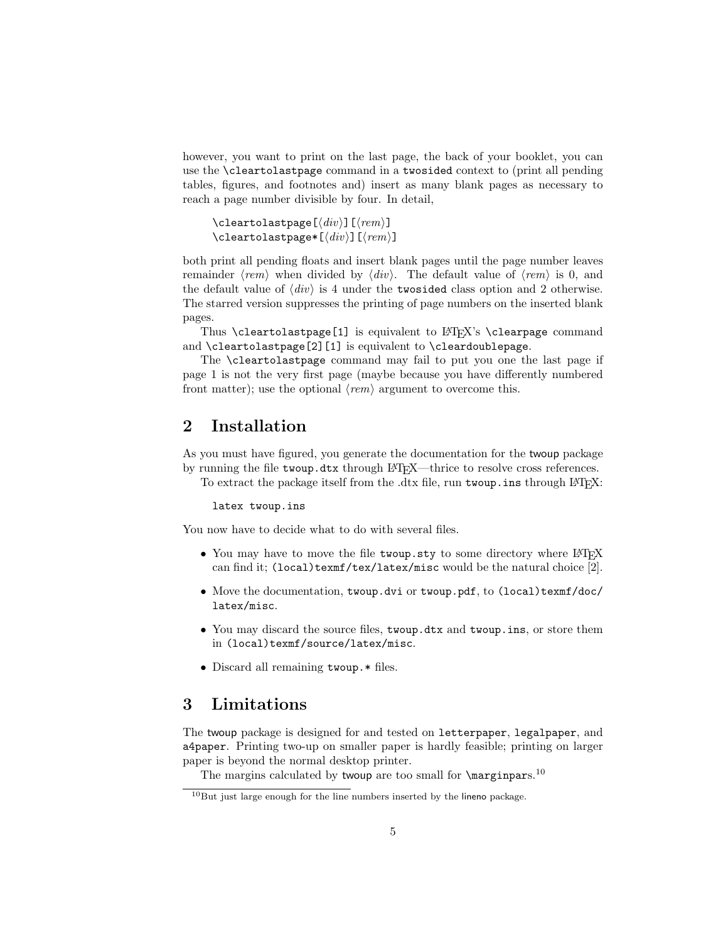however, you want to print on the last page, the back of your booklet, you can use the \cleartolastpage command in a twosided context to (print all pending tables, figures, and footnotes and) insert as many blank pages as necessary to reach a page number divisible by four. In detail,

```
\cleartolastpage[\langle div \rangle][\langle rem \rangle]
\cleartolastpage*[\langle div \rangle][\langle rem \rangle]
```
both print all pending floats and insert blank pages until the page number leaves remainder  $\langle rem \rangle$  when divided by  $\langle div \rangle$ . The default value of  $\langle rem \rangle$  is 0, and the default value of  $\langle div \rangle$  is 4 under the twosided class option and 2 otherwise. The starred version suppresses the printing of page numbers on the inserted blank pages.

Thus  $\clap{\text{clearblastpage}[1]}$  is equivalent to  $\mathbb{A}$ FRX's  $\clap{\text{clearpage} command}$ and \cleartolastpage[2][1] is equivalent to \cleardoublepage.

The \cleartolastpage command may fail to put you one the last page if page 1 is not the very first page (maybe because you have differently numbered front matter); use the optional  $\langle rem \rangle$  argument to overcome this.

## 2 Installation

As you must have figured, you generate the documentation for the twoup package by running the file twoup.dtx through LATEX—thrice to resolve cross references. To extract the package itself from the .dtx file, run twoup.ins through LAT<sub>EX</sub>:

#### latex twoup.ins

You now have to decide what to do with several files.

- You may have to move the file twoup.sty to some directory where LATEX can find it; (local)texmf/tex/latex/misc would be the natural choice  $[2]$ .
- Move the documentation, twoup.dvi or twoup.pdf, to (local)texmf/doc/ latex/misc.
- You may discard the source files, twoup.dtx and twoup.ins, or store them in (local)texmf/source/latex/misc.
- Discard all remaining twoup.\* files.

## 3 Limitations

The twoup package is designed for and tested on letterpaper, legalpaper, and a4paper. Printing two-up on smaller paper is hardly feasible; printing on larger paper is beyond the normal desktop printer.

The margins calculated by two up are too small for  $\m{marginparse}$ .<sup>10</sup>

 $10$ But just large enough for the line numbers inserted by the lineno package.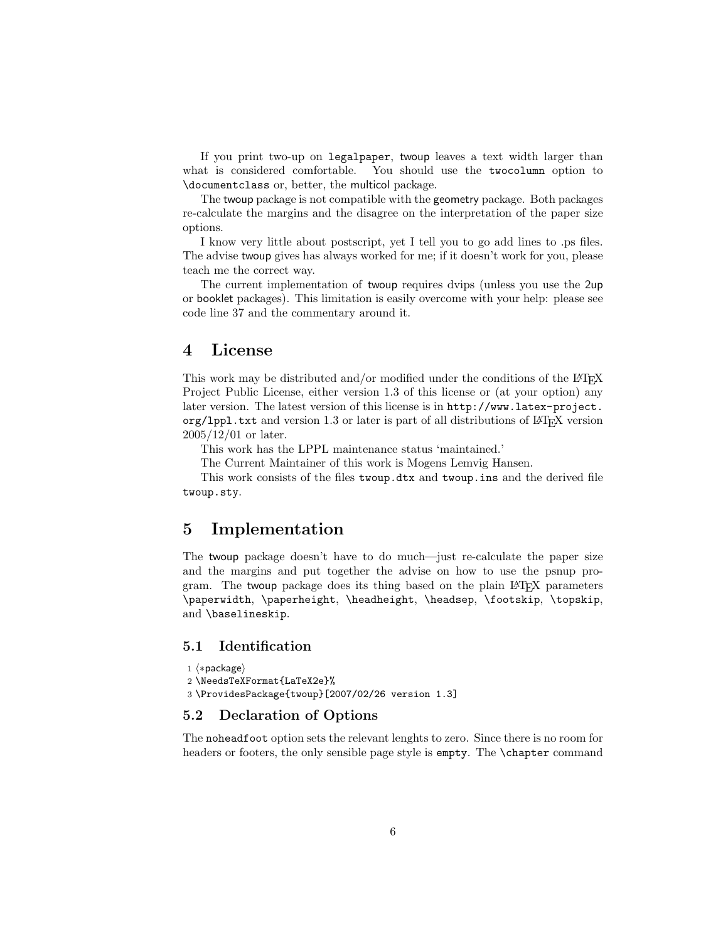If you print two-up on legalpaper, twoup leaves a text width larger than what is considered comfortable. You should use the twocolumn option to \documentclass or, better, the multicol package.

The twoup package is not compatible with the geometry package. Both packages re-calculate the margins and the disagree on the interpretation of the paper size options.

I know very little about postscript, yet I tell you to go add lines to .ps files. The advise twoup gives has always worked for me; if it doesn't work for you, please teach me the correct way.

The current implementation of twoup requires dvips (unless you use the 2up or booklet packages). This limitation is easily overcome with your help: please see code line 37 and the commentary around it.

### 4 License

This work may be distributed and/or modified under the conditions of the LAT<sub>EX</sub> Project Public License, either version 1.3 of this license or (at your option) any later version. The latest version of this license is in http://www.latex-project.  $\text{org/1pp1.txt}$  and version 1.3 or later is part of all distributions of  $\text{ETrX}$  version 2005/12/01 or later.

This work has the LPPL maintenance status 'maintained.'

The Current Maintainer of this work is Mogens Lemvig Hansen.

This work consists of the files twoup.dtx and twoup.ins and the derived file twoup.sty.

### 5 Implementation

The twoup package doesn't have to do much—just re-calculate the paper size and the margins and put together the advise on how to use the psnup program. The twoup package does its thing based on the plain LATEX parameters \paperwidth, \paperheight, \headheight, \headsep, \footskip, \topskip, and \baselineskip.

### 5.1 Identification

```
1 \langle *package \rangle2 \NeedsTeXFormat{LaTeX2e}%
3 \ProvidesPackage{twoup}[2007/02/26 version 1.3]
```
### 5.2 Declaration of Options

The noheadfoot option sets the relevant lenghts to zero. Since there is no room for headers or footers, the only sensible page style is empty. The \chapter command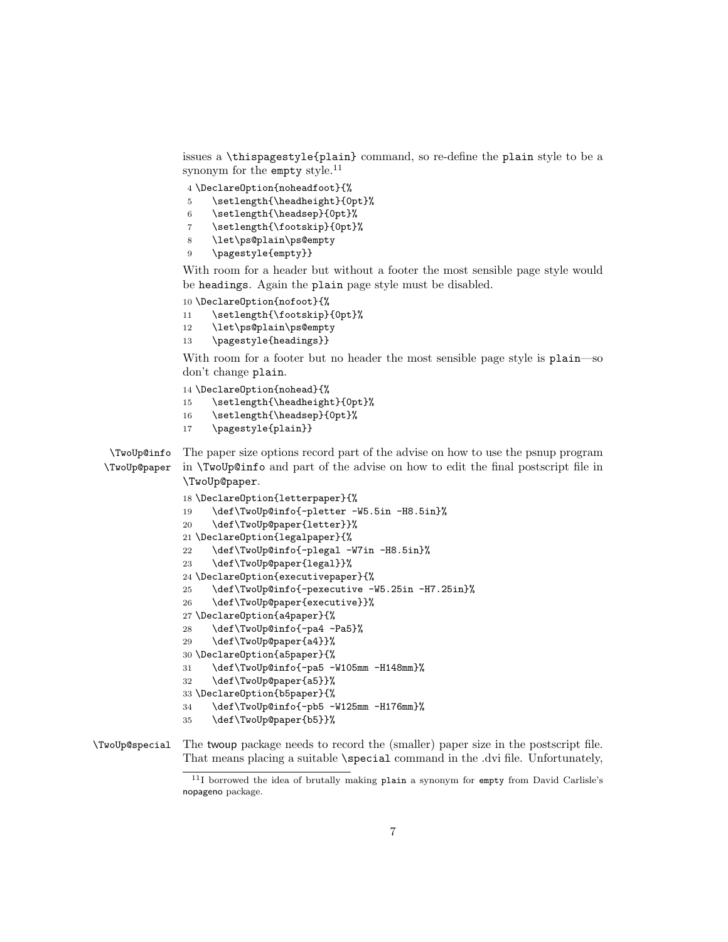issues a \thispagestyle{plain} command, so re-define the plain style to be a synonym for the empty style.<sup>11</sup>

4 \DeclareOption{noheadfoot}{%

- 5 \setlength{\headheight}{0pt}%
- 6 \setlength{\headsep}{0pt}%
- 7 \setlength{\footskip}{0pt}%
- 8 \let\ps@plain\ps@empty
- 9 \pagestyle{empty}}

With room for a header but without a footer the most sensible page style would be headings. Again the plain page style must be disabled.

```
10 \DeclareOption{nofoot}{%
```
- 11 \setlength{\footskip}{0pt}%
- 12 \let\ps@plain\ps@empty
- 13 \pagestyle{headings}}

With room for a footer but no header the most sensible page style is plain—so don't change plain.

```
14 \DeclareOption{nohead}{%
```
- 15 \setlength{\headheight}{0pt}%
- 16 \setlength{\headsep}{0pt}%
- 17 \pagestyle{plain}}

\TwoUp@info \TwoUp@paper The paper size options record part of the advise on how to use the psnup program in \TwoUp@info and part of the advise on how to edit the final postscript file in \TwoUp@paper.

```
18 \DeclareOption{letterpaper}{%
19 \def\TwoUp@info{-pletter -W5.5in -H8.5in}%
20 \def\TwoUp@paper{letter}}%
21 \DeclareOption{legalpaper}{%
22 \def\TwoUp@info{-plegal -W7in -H8.5in}%
23 \def\TwoUp@paper{legal}}%
24 \DeclareOption{executivepaper}{%
25 \def\TwoUp@info{-pexecutive -W5.25in -H7.25in}%
26 \def\TwoUp@paper{executive}}%
27 \DeclareOption{a4paper}{%
28 \def\TwoUp@info{-pa4 -Pa5}%
29 \def\TwoUp@paper{a4}}%
30 \DeclareOption{a5paper}{%
31 \def\TwoUp@info{-pa5 -W105mm -H148mm}%
32 \def\TwoUp@paper{a5}}%
33 \DeclareOption{b5paper}{%
34 \def\TwoUp@info{-pb5 -W125mm -H176mm}%
35 \def\TwoUp@paper{b5}}%
```
\TwoUp@special The twoup package needs to record the (smaller) paper size in the postscript file. That means placing a suitable \special command in the .dvi file. Unfortunately,

<sup>&</sup>lt;sup>11</sup>I borrowed the idea of brutally making plain a synonym for empty from David Carlisle's nopageno package.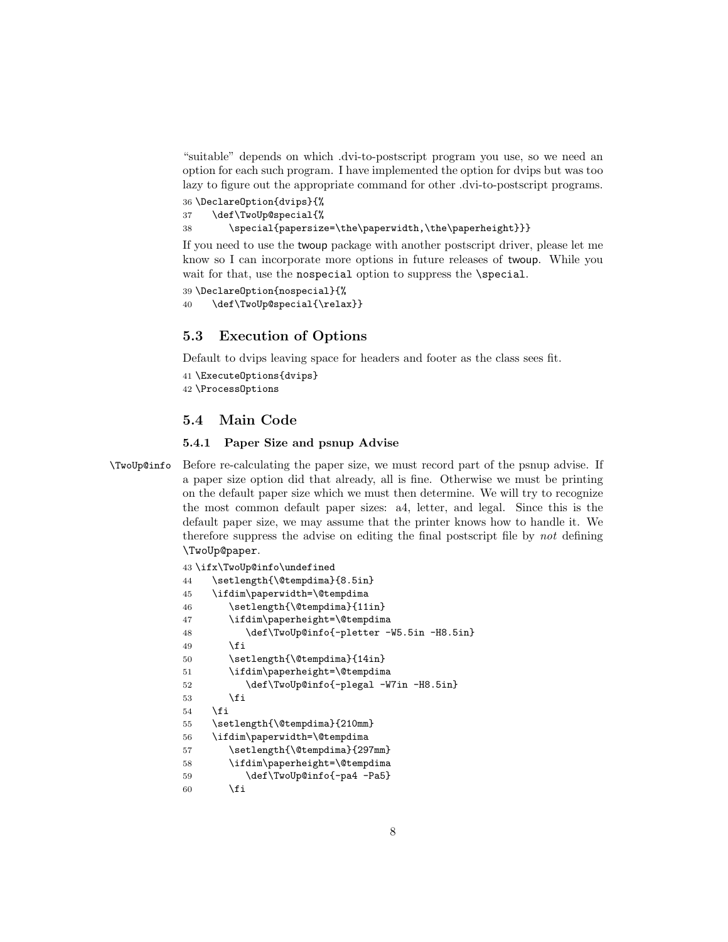"suitable" depends on which .dvi-to-postscript program you use, so we need an option for each such program. I have implemented the option for dvips but was too lazy to figure out the appropriate command for other .dvi-to-postscript programs.

36 \DeclareOption{dvips}{% 37 \def\TwoUp@special{% 38 \special{papersize=\the\paperwidth,\the\paperheight}}}

If you need to use the twoup package with another postscript driver, please let me know so I can incorporate more options in future releases of twoup. While you wait for that, use the nospecial option to suppress the \special.

```
39 \DeclareOption{nospecial}{%
40 \def\TwoUp@special{\relax}}
```
### 5.3 Execution of Options

Default to dvips leaving space for headers and footer as the class sees fit.

```
41 \ExecuteOptions{dvips}
42 \ProcessOptions
```
### 5.4 Main Code

#### 5.4.1 Paper Size and psnup Advise

\TwoUp@info Before re-calculating the paper size, we must record part of the psnup advise. If a paper size option did that already, all is fine. Otherwise we must be printing on the default paper size which we must then determine. We will try to recognize the most common default paper sizes: a4, letter, and legal. Since this is the default paper size, we may assume that the printer knows how to handle it. We therefore suppress the advise on editing the final postscript file by not defining \TwoUp@paper.

```
43 \ifx\TwoUp@info\undefined
44 \setlength{\@tempdima}{8.5in}
45 \ifdim\paperwidth=\@tempdima
46 \setlength{\@tempdima}{11in}
47 \ifdim\paperheight=\@tempdima
48 \def\TwoUp@info{-pletter -W5.5in -H8.5in}
49 \qquad \qquad \fi
50 \setlength{\@tempdima}{14in}
51 \ifdim\paperheight=\@tempdima
52 \def\TwoUp@info{-plegal -W7in -H8.5in}
53 \overline{\phantom{a}} \fi
54 \fi
55 \setlength{\@tempdima}{210mm}
56 \ifdim\paperwidth=\@tempdima
57 \setlength{\@tempdima}{297mm}
58 \ifdim\paperheight=\@tempdima
59 \def\TwoUp@info{-pa4 -Pa5}
60 \overline{\ } \} \fi
```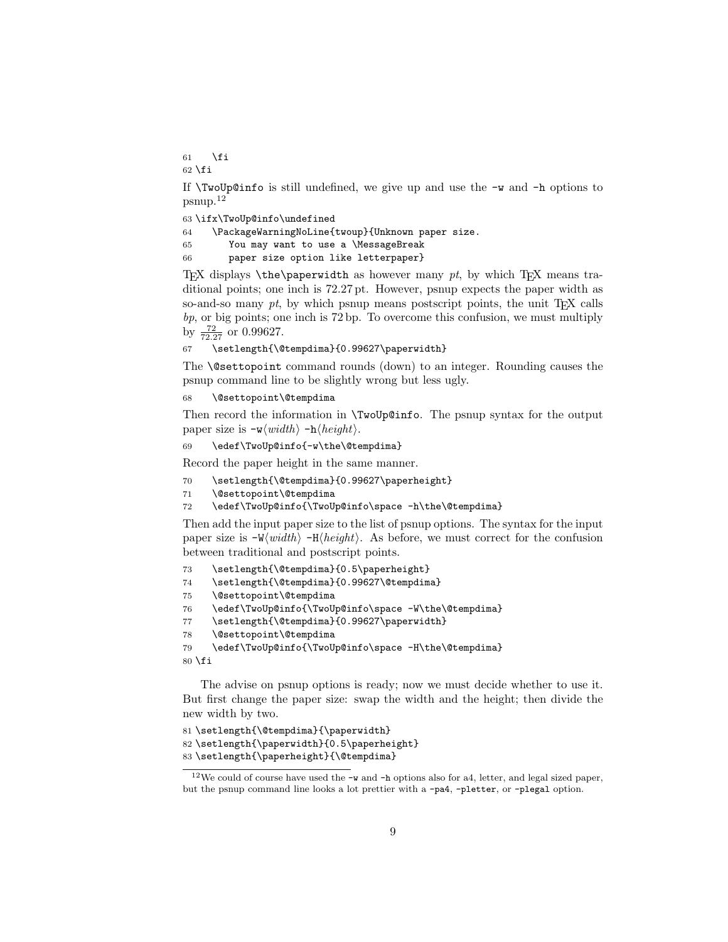61  $\setminus$ fi  $62$  \fi

If  $\Upsilon$  woUp@info is still undefined, we give up and use the  $-w$  and  $-h$  options to psnup.<sup>12</sup>

63 \ifx\TwoUp@info\undefined

64 \PackageWarningNoLine{twoup}{Unknown paper size.

65 You may want to use a \MessageBreak

66 paper size option like letterpaper}

TEX displays  $\theta$  he paperwidth as however many pt, by which TEX means traditional points; one inch is 72.27 pt. However, psnup expects the paper width as so-and-so many  $pt$ , by which psnup means postscript points, the unit T<sub>E</sub>X calls  $bp$ , or big points; one inch is 72 bp. To overcome this confusion, we must multiply by  $\frac{72}{72.27}$  or 0.99627.

67 \setlength{\@tempdima}{0.99627\paperwidth}

The \@settopoint command rounds (down) to an integer. Rounding causes the psnup command line to be slightly wrong but less ugly.

68 \@settopoint\@tempdima

Then record the information in \TwoUp@info. The psnup syntax for the output paper size is  $-\mathbf{w}\langle width \rangle -\mathbf{h}\langle height \rangle$ .

69 \edef\TwoUp@info{-w\the\@tempdima}

Record the paper height in the same manner.

- 70 \setlength{\@tempdima}{0.99627\paperheight}
- 71 \@settopoint\@tempdima

72 \edef\TwoUp@info{\TwoUp@info\space -h\the\@tempdima}

Then add the input paper size to the list of psnup options. The syntax for the input paper size is  $-W(width)$  -H $\langle height \rangle$ . As before, we must correct for the confusion between traditional and postscript points.

```
73 \setlength{\@tempdima}{0.5\paperheight}
```

```
74 \setlength{\@tempdima}{0.99627\@tempdima}
```

```
76 \edef\TwoUp@info{\TwoUp@info\space -W\the\@tempdima}
```

```
77 \setlength{\@tempdima}{0.99627\paperwidth}
```
78 \@settopoint\@tempdima

```
79 \edef\TwoUp@info{\TwoUp@info\space -H\the\@tempdima}
80 \setminus fi
```
The advise on psnup options is ready; now we must decide whether to use it. But first change the paper size: swap the width and the height; then divide the new width by two.

```
81 \setlength{\@tempdima}{\paperwidth}
82 \setlength{\paperwidth}{0.5\paperheight}
83 \setlength{\paperheight}{\@tempdima}
```
<sup>75</sup> \@settopoint\@tempdima

<sup>&</sup>lt;sup>12</sup>We could of course have used the  $-w$  and  $-w$  options also for a4, letter, and legal sized paper, but the psnup command line looks a lot prettier with a -pa4, -pletter, or -plegal option.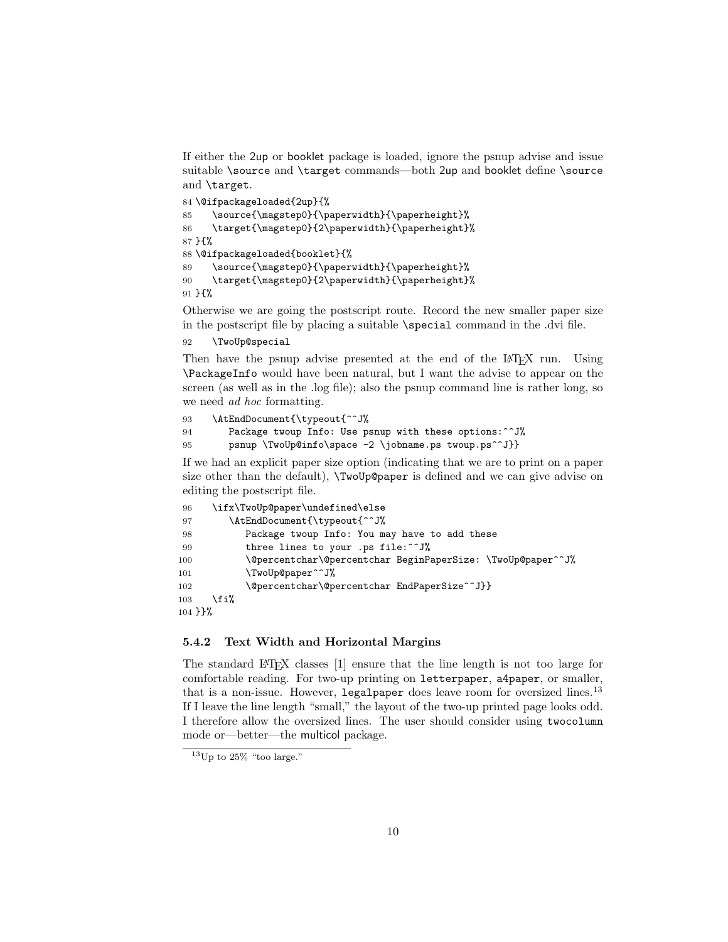If either the 2up or booklet package is loaded, ignore the psnup advise and issue suitable \source and \target commands—both 2up and booklet define \source and \target.

```
84 \@ifpackageloaded{2up}{%
85 \source{\magstep0}{\paperwidth}{\paperheight}%
86 \target{\magstep0}{2\paperwidth}{\paperheight}%
87 }{%
88 \@ifpackageloaded{booklet}{%
89 \source{\magstep0}{\paperwidth}{\paperheight}%
90 \target{\magstep0}{2\paperwidth}{\paperheight}%
91 }{%
```
Otherwise we are going the postscript route. Record the new smaller paper size in the postscript file by placing a suitable \special command in the .dvi file.

92 \TwoUp@special

Then have the psnup advise presented at the end of the LATEX run. Using \PackageInfo would have been natural, but I want the advise to appear on the screen (as well as in the .log file); also the psnup command line is rather long, so we need *ad hoc* formatting.

```
93 \AtEndDocument{\typeout{^^J%
94 Package twoup Info: Use psnup with these options:^^J%
95 psnup \TwoUp@info\space -2 \jobname.ps twoup.ps^^J}}
```
If we had an explicit paper size option (indicating that we are to print on a paper size other than the default), \TwoUp@paper is defined and we can give advise on editing the postscript file.

```
96 \ifx\TwoUp@paper\undefined\else
97 \AtEndDocument{\typeout{^^J%
98 Package twoup Info: You may have to add these
99 three lines to your .ps file:^^J%
100 \@percentchar\@percentchar BeginPaperSize: \TwoUp@paper^^J%
101 \TwoUp@paper^^J%
102 \@percentchar\@percentchar EndPaperSize^^J}}
103 \fi%
104 }}%
```
#### 5.4.2 Text Width and Horizontal Margins

The standard LATEX classes  $[1]$  ensure that the line length is not too large for comfortable reading. For two-up printing on letterpaper, a4paper, or smaller, that is a non-issue. However, legalpaper does leave room for oversized lines.<sup>13</sup> If I leave the line length "small," the layout of the two-up printed page looks odd. I therefore allow the oversized lines. The user should consider using twocolumn mode or—better—the multicol package.

 $13$ Up to 25% "too large."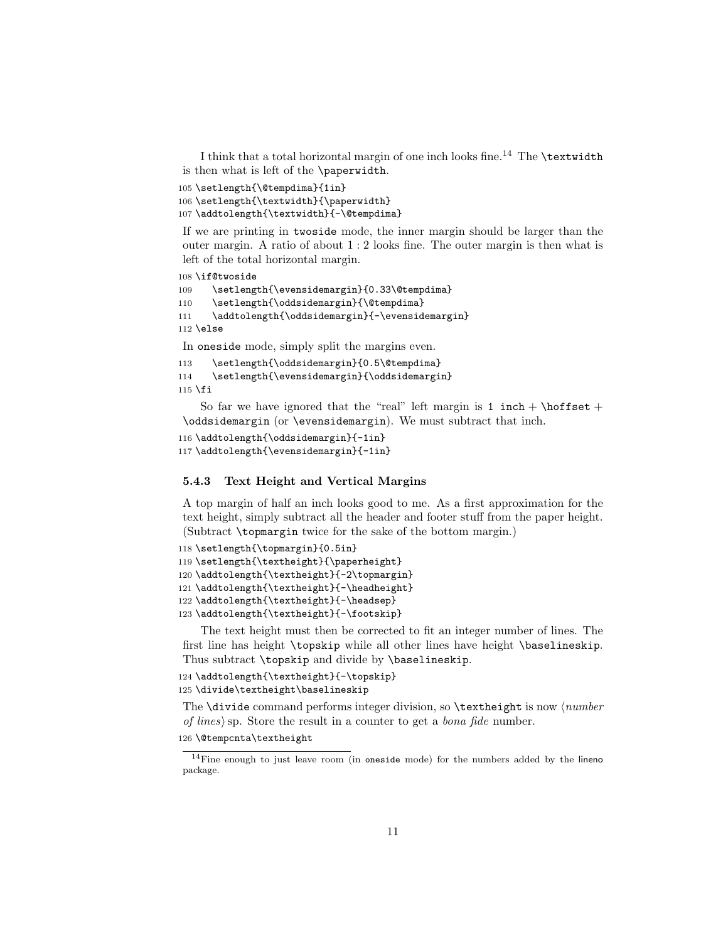I think that a total horizontal margin of one inch looks fine.<sup>14</sup> The \textwidth is then what is left of the \paperwidth.

105 \setlength{\@tempdima}{1in}

```
106 \setlength{\textwidth}{\paperwidth}
```

```
107 \addtolength{\textwidth}{-\@tempdima}
```
If we are printing in twoside mode, the inner margin should be larger than the outer margin. A ratio of about 1 : 2 looks fine. The outer margin is then what is left of the total horizontal margin.

```
108 \if@twoside
```

```
109 \setlength{\evensidemargin}{0.33\@tempdima}
```

```
110 \setlength{\oddsidemargin}{\@tempdima}
```

```
111 \addtolength{\oddsidemargin}{-\evensidemargin}
```

```
112 \else
```
In oneside mode, simply split the margins even.

```
113 \setlength{\oddsidemargin}{0.5\@tempdima}
114 \setlength{\evensidemargin}{\oddsidemargin}
115 \fi
```
So far we have ignored that the "real" left margin is 1 inch + \hoffset + \oddsidemargin (or \evensidemargin). We must subtract that inch.

```
116 \addtolength{\oddsidemargin}{-1in}
117 \addtolength{\evensidemargin}{-1in}
```
#### 5.4.3 Text Height and Vertical Margins

A top margin of half an inch looks good to me. As a first approximation for the text height, simply subtract all the header and footer stuff from the paper height. (Subtract \topmargin twice for the sake of the bottom margin.)

```
118 \setlength{\topmargin}{0.5in}
119 \setlength{\textheight}{\paperheight}
120 \addtolength{\textheight}{-2\topmargin}
121 \addtolength{\textheight}{-\headheight}
122 \addtolength{\textheight}{-\headsep}
123 \addtolength{\textheight}{-\footskip}
```
The text height must then be corrected to fit an integer number of lines. The first line has height \topskip while all other lines have height \baselineskip. Thus subtract \topskip and divide by \baselineskip.

```
124 \addtolength{\textheight}{-\topskip}
125 \divide\textheight\baselineskip
```
The  $\div$  divide command performs integer division, so  $\div$  extheight is now  $\langle number$ of lines) sp. Store the result in a counter to get a *bona fide* number.

```
126 \@tempcnta\textheight
```
<sup>&</sup>lt;sup>14</sup>Fine enough to just leave room (in oneside mode) for the numbers added by the lineno package.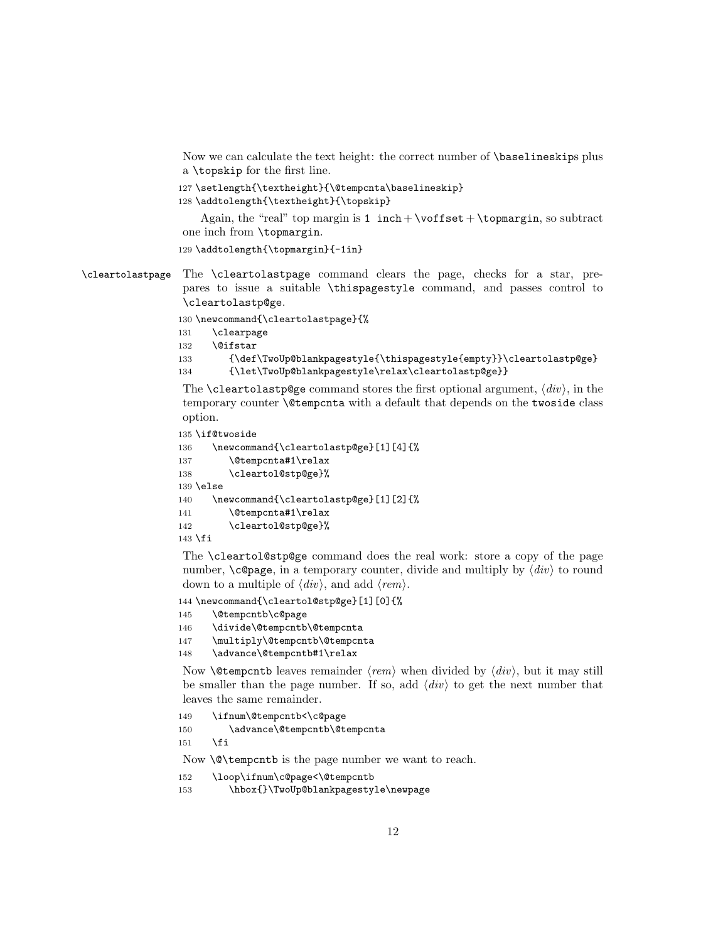Now we can calculate the text height: the correct number of \baselineskips plus a \topskip for the first line.

```
127 \setlength{\textheight}{\@tempcnta\baselineskip}
```

```
128 \addtolength{\textheight}{\topskip}
```
Again, the "real" top margin is 1 inch + \voffset + \topmargin, so subtract one inch from \topmargin.

```
129 \addtolength{\topmargin}{-1in}
```
\cleartolastpage The \cleartolastpage command clears the page, checks for a star, prepares to issue a suitable \thispagestyle command, and passes control to \cleartolastp@ge.

130 \newcommand{\cleartolastpage}{%

```
131 \clearpage
```

```
132 \@ifstar
```

```
133 {\def\TwoUp@blankpagestyle{\thispagestyle{empty}}\cleartolastp@ge}
```
134 {\let\TwoUp@blankpagestyle\relax\cleartolastp@ge}}

The **\cleartolastp@ge** command stores the first optional argument,  $\langle div \rangle$ , in the temporary counter \@tempcnta with a default that depends on the twoside class option.

```
135 \if@twoside
```

```
136 \newcommand{\cleartolastp@ge}[1][4]{%
137 \@tempcnta#1\relax
138 \cleartol@stp@ge}%
139 \else
140 \newcommand{\cleartolastp@ge}[1][2]{%
141 \@tempcnta#1\relax
142 \cleartol@stp@ge}%
143 \fi
```
The \cleartol@stp@ge command does the real work: store a copy of the page number,  $\c{e}$  and multiply by  $\langle div \rangle$  to round down to a multiple of  $\langle div \rangle$ , and add  $\langle rem \rangle$ .

144 \newcommand{\cleartol@stp@ge}[1][0]{%

145 \@tempcntb\c@page

```
146 \divide\@tempcntb\@tempcnta
```
- 147 \multiply\@tempcntb\@tempcnta
- 148 \advance\@tempcntb#1\relax

Now **\@tempcntb** leaves remainder  $\langle rem \rangle$  when divided by  $\langle div \rangle$ , but it may still be smaller than the page number. If so, add  $\langle div \rangle$  to get the next number that leaves the same remainder.

149 \ifnum\@tempcntb<\c@page

150 \advance\@tempcntb\@tempcnta

 $151$  \fi

Now \@\tempcntb is the page number we want to reach.

- 152 \loop\ifnum\c@page<\@tempcntb
- 153 \hbox{}\TwoUp@blankpagestyle\newpage